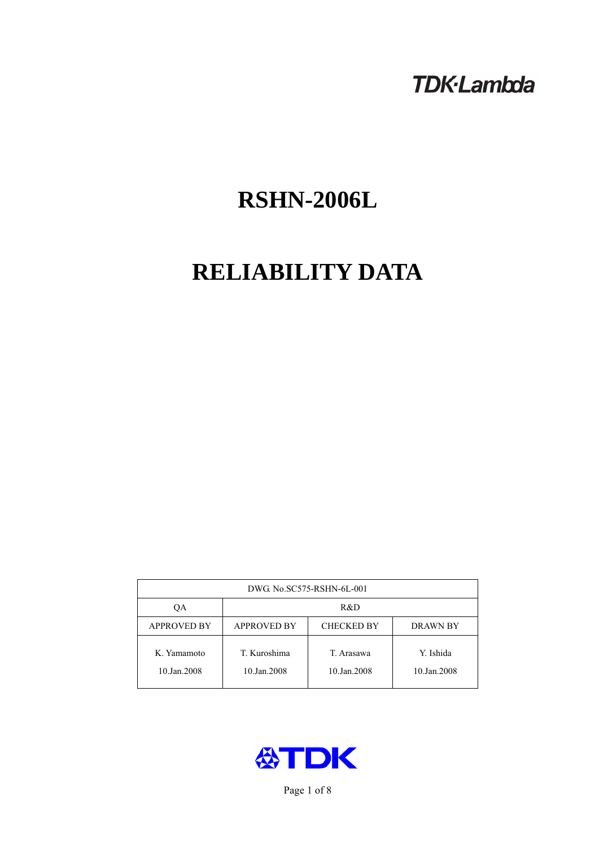# **TDK-Lambda**

# **RSHN-2006L**

# **RELIABILITY DATA**

| DWG No.SC575-RSHN-6L-001   |                                                            |                           |                          |  |  |
|----------------------------|------------------------------------------------------------|---------------------------|--------------------------|--|--|
| ОA                         | R&D                                                        |                           |                          |  |  |
| <b>APPROVED BY</b>         | <b>APPROVED BY</b><br><b>CHECKED BY</b><br><b>DRAWN BY</b> |                           |                          |  |  |
| K. Yamamoto<br>10.Jan.2008 | T. Kuroshima<br>10.Jan.2008                                | T. Arasawa<br>10.Jan.2008 | Y. Ishida<br>10.Jan.2008 |  |  |



Page 1 of 8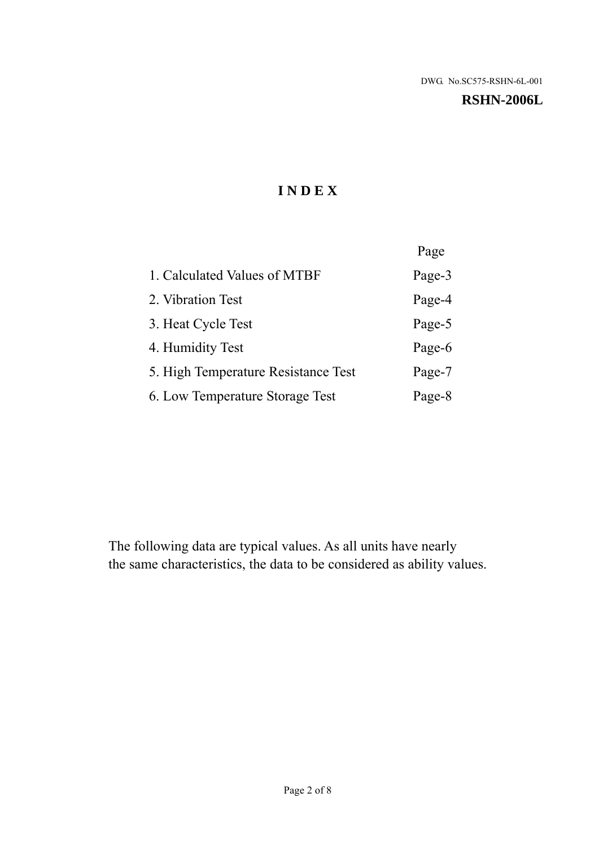#### **RSHN-2006L**

# **I N D E X**

|                                     | Page   |
|-------------------------------------|--------|
| 1. Calculated Values of MTBF        | Page-3 |
| 2. Vibration Test                   | Page-4 |
| 3. Heat Cycle Test                  | Page-5 |
| 4. Humidity Test                    | Page-6 |
| 5. High Temperature Resistance Test | Page-7 |
| 6. Low Temperature Storage Test     | Page-8 |

The following data are typical values. As all units have nearly the same characteristics, the data to be considered as ability values.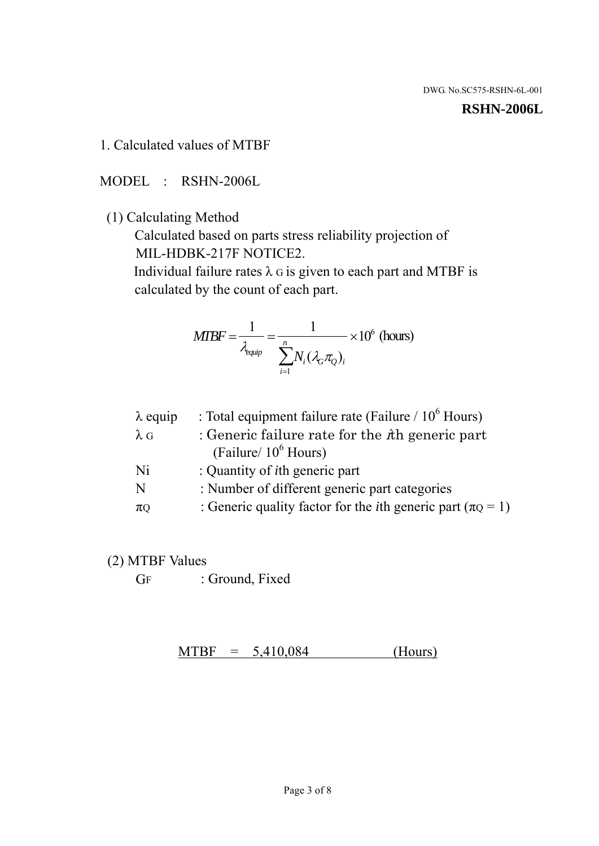#### **RSHN-2006L**

1. Calculated values of MTBF

MODEL : RSHN-2006L

(1) Calculating Method

 Calculated based on parts stress reliability projection of MIL-HDBK-217F NOTICE2.

Individual failure rates  $\lambda$  G is given to each part and MTBF is calculated by the count of each part.

$$
MTBF = \frac{1}{\lambda_{\text{equip}}} = \frac{1}{\sum_{i=1}^{n} N_i (\lambda_G \pi_Q)_i} \times 10^6 \text{ (hours)}
$$

| : Total equipment failure rate (Failure / $10^6$ Hours)                   |
|---------------------------------------------------------------------------|
| : Generic failure rate for the $\hbar$ generic part                       |
| (Failure/ $10^6$ Hours)                                                   |
| : Quantity of <i>i</i> th generic part                                    |
| : Number of different generic part categories                             |
| : Generic quality factor for the <i>i</i> th generic part ( $\pi Q = 1$ ) |
|                                                                           |

- (2) MTBF Values
	- GF : Ground, Fixed

 $MTBF = 5,410,084$  (Hours)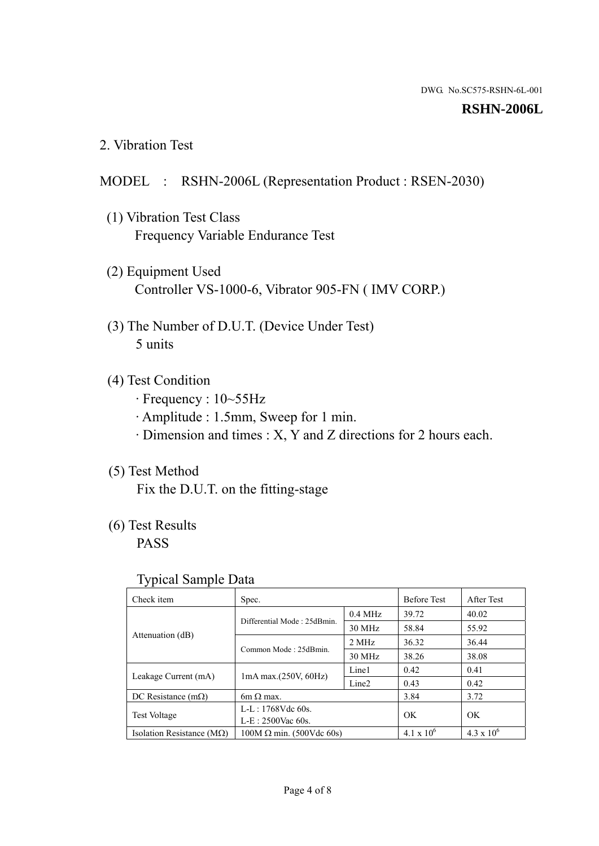#### **RSHN-2006L**

2. Vibration Test

#### MODEL : RSHN-2006L (Representation Product : RSEN-2030)

- (1) Vibration Test Class Frequency Variable Endurance Test
- (2) Equipment Used Controller VS-1000-6, Vibrator 905-FN ( IMV CORP.)
- (3) The Number of D.U.T. (Device Under Test) 5 units
- (4) Test Condition
	- · Frequency : 10~55Hz
	- · Amplitude : 1.5mm, Sweep for 1 min.
	- · Dimension and times : X, Y and Z directions for 2 hours each.

# (5) Test Method

Fix the D.U.T. on the fitting-stage

# (6) Test Results

PASS

#### Typical Sample Data

| . .                           |                                 |                   |                     |                     |
|-------------------------------|---------------------------------|-------------------|---------------------|---------------------|
| Check item                    | Spec.                           |                   | <b>Before Test</b>  | After Test          |
|                               | Differential Mode: 25dBmin.     | $0.4$ MHz         | 39.72               | 40.02               |
|                               |                                 | 30 MHz            | 58.84               | 55.92               |
| Attenuation (dB)              | Common Mode: 25dBmin.           | 2 MHz             | 36.32               | 36.44               |
|                               |                                 | 30 MHz            | 38.26               | 38.08               |
| Leakage Current (mA)          | $1mA$ max. $(250V, 60Hz)$       | Line1             | 0.42                | 0.41                |
|                               |                                 | Line <sub>2</sub> | 0.43                | 0.42                |
| DC Resistance $(m\Omega)$     | $6m \Omega$ max.                |                   | 3.84                | 3.72                |
| <b>Test Voltage</b>           | $L-L: 1768Vdc$ 60s.             |                   | OK                  | OK.                 |
|                               | $L-E$ : 2500Vac 60s.            |                   |                     |                     |
| Isolation Resistance ( $MQ$ ) | $100M \Omega$ min. (500Vdc 60s) |                   | $4.1 \times 10^{6}$ | $4.3 \times 10^{6}$ |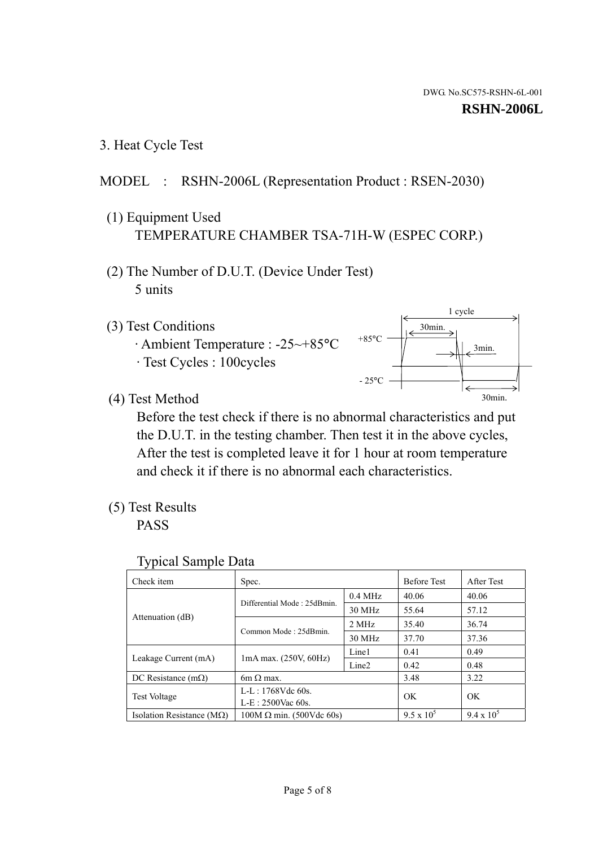3. Heat Cycle Test

# MODEL : RSHN-2006L (Representation Product : RSEN-2030)

- (1) Equipment Used TEMPERATURE CHAMBER TSA-71H-W (ESPEC CORP.)
- (2) The Number of D.U.T. (Device Under Test) 5 units
- (3) Test Conditions
	- · Ambient Temperature : -25~+85°C · Test Cycles : 100cycles



(4) Test Method

 Before the test check if there is no abnormal characteristics and put the D.U.T. in the testing chamber. Then test it in the above cycles, After the test is completed leave it for 1 hour at room temperature and check it if there is no abnormal each characteristics.

(5) Test Results

PASS

| <b>Typical Sample Data</b> |  |  |
|----------------------------|--|--|
|----------------------------|--|--|

| Check item                         | Spec.                       |                   | <b>Before Test</b> | After Test        |
|------------------------------------|-----------------------------|-------------------|--------------------|-------------------|
|                                    |                             | $0.4$ MHz         | 40.06              | 40.06             |
|                                    | Differential Mode: 25dBmin. | 30 MHz            | 55.64              | 57.12             |
| Attenuation (dB)                   | Common Mode: 25dBmin.       | 2 MHz             | 35.40              | 36.74             |
|                                    |                             | 30 MHz            | 37.70              | 37.36             |
| Leakage Current (mA)               | $1mA$ max. $(250V, 60Hz)$   | Line1             | 0.41               | 0.49              |
|                                    |                             | Line <sub>2</sub> | 0.42               | 0.48              |
| DC Resistance $(m\Omega)$          | $6m \Omega$ max.            |                   | 3.48               | 3.22              |
| <b>Test Voltage</b>                | $L-L: 1768Vdc$ 60s.         |                   | OK                 | OK                |
|                                    | $L-E: 2500$ Vac 60s.        |                   |                    |                   |
| Isolation Resistance ( $M\Omega$ ) | $100M$ Ω min. (500Vdc 60s)  |                   | $9.5 \times 10^5$  | $9.4 \times 10^5$ |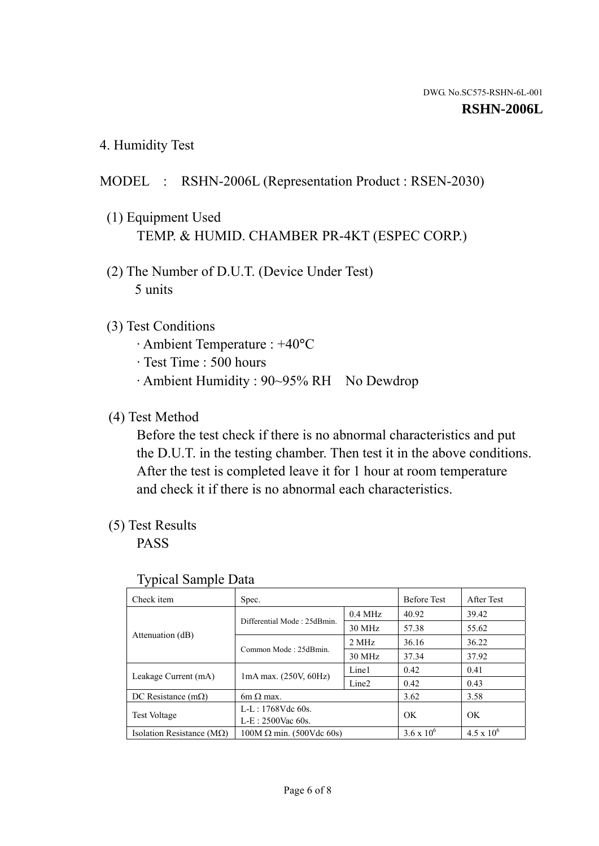4. Humidity Test

# MODEL : RSHN-2006L (Representation Product : RSEN-2030)

- (1) Equipment Used TEMP. & HUMID. CHAMBER PR-4KT (ESPEC CORP.)
- (2) The Number of D.U.T. (Device Under Test) 5 units

## (3) Test Conditions

- · Ambient Temperature : +40°C
- · Test Time : 500 hours
- · Ambient Humidity : 90~95% RH No Dewdrop

## (4) Test Method

 Before the test check if there is no abnormal characteristics and put the D.U.T. in the testing chamber. Then test it in the above conditions. After the test is completed leave it for 1 hour at room temperature and check it if there is no abnormal each characteristics.

## (5) Test Results

PASS

| ╯┸                                 |                                 |                   |                     |                     |
|------------------------------------|---------------------------------|-------------------|---------------------|---------------------|
| Check item                         | Spec.                           |                   | <b>Before Test</b>  | After Test          |
| Attenuation (dB)                   | Differential Mode: 25dBmin.     | $0.4$ MHz         | 40.92               | 39.42               |
|                                    |                                 | 30 MHz            | 57.38               | 55.62               |
|                                    | Common Mode: 25dBmin.           | 2 MHz             | 36.16               | 36.22               |
|                                    |                                 | 30 MHz            | 37.34               | 37.92               |
| Leakage Current (mA)               | $1mA$ max. $(250V, 60Hz)$       | Line1             | 0.42                | 0.41                |
|                                    |                                 | Line <sub>2</sub> | 0.42                | 0.43                |
| DC Resistance $(m\Omega)$          | $6m \Omega$ max.                |                   | 3.62                | 3.58                |
| <b>Test Voltage</b>                | $L-L: 1768Vdc$ 60s.             |                   | OK                  | OK                  |
|                                    | $L-E$ : 2500Vac 60s.            |                   |                     |                     |
| Isolation Resistance ( $M\Omega$ ) | $100M \Omega$ min. (500Vdc 60s) |                   | $3.6 \times 10^{6}$ | $4.5 \times 10^{6}$ |

#### Typical Sample Data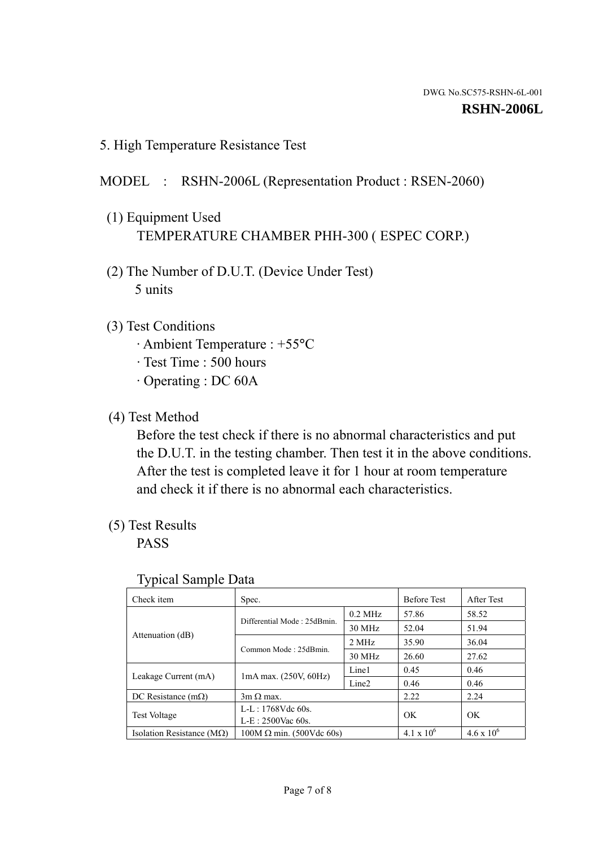5. High Temperature Resistance Test

# MODEL : RSHN-2006L (Representation Product : RSEN-2060)

- (1) Equipment Used TEMPERATURE CHAMBER PHH-300 ( ESPEC CORP.)
- (2) The Number of D.U.T. (Device Under Test) 5 units
- (3) Test Conditions
	- · Ambient Temperature : +55°C
	- · Test Time : 500 hours
	- · Operating : DC 60A
- (4) Test Method

 Before the test check if there is no abnormal characteristics and put the D.U.T. in the testing chamber. Then test it in the above conditions. After the test is completed leave it for 1 hour at room temperature and check it if there is no abnormal each characteristics.

(5) Test Results

PASS

| J 1                                |                                 |                   |                     |                     |
|------------------------------------|---------------------------------|-------------------|---------------------|---------------------|
| Check item                         | Spec.                           |                   | <b>Before Test</b>  | After Test          |
|                                    | Differential Mode: 25dBmin.     | $0.2$ MHz         | 57.86               | 58.52               |
|                                    |                                 | 30 MHz            | 52.04               | 51.94               |
| Attenuation (dB)                   | Common Mode: 25dBmin.           | 2 MHz             | 35.90               | 36.04               |
|                                    |                                 | 30 MHz            | 26.60               | 27.62               |
| Leakage Current (mA)               | $1mA$ max. $(250V, 60Hz)$       | Line1             | 0.45                | 0.46                |
|                                    |                                 | Line <sub>2</sub> | 0.46                | 0.46                |
| DC Resistance $(m\Omega)$          | $3m \Omega$ max.                |                   | 2.22                | 2.24                |
| <b>Test Voltage</b>                | $L-L: 1768Vdc$ 60s.             |                   | OK                  | OK                  |
|                                    | $L-E: 2500$ Vac 60s.            |                   |                     |                     |
| Isolation Resistance ( $M\Omega$ ) | $100M \Omega$ min. (500Vdc 60s) |                   | $4.1 \times 10^{6}$ | $4.6 \times 10^{6}$ |

#### Typical Sample Data